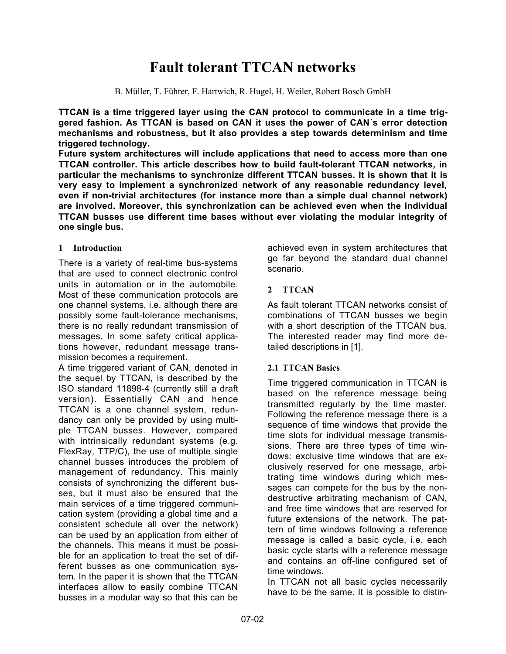# **Fault tolerant TTCAN networks**

B. Müller, T. Führer, F. Hartwich, R. Hugel, H. Weiler, Robert Bosch GmbH

**TTCAN is a time triggered layer using the CAN protocol to communicate in a time triggered fashion. As TTCAN is based on CAN it uses the power of CAN´s error detection mechanisms and robustness, but it also provides a step towards determinism and time triggered technology.**

**Future system architectures will include applications that need to access more than one TTCAN controller. This article describes how to build fault-tolerant TTCAN networks, in particular the mechanisms to synchronize different TTCAN busses. It is shown that it is very easy to implement a synchronized network of any reasonable redundancy level, even if non-trivial architectures (for instance more than a simple dual channel network) are involved. Moreover, this synchronization can be achieved even when the individual TTCAN busses use different time bases without ever violating the modular integrity of one single bus.**

# **1 Introduction**

There is a variety of real-time bus-systems that are used to connect electronic control units in automation or in the automobile. Most of these communication protocols are one channel systems, i.e. although there are possibly some fault-tolerance mechanisms, there is no really redundant transmission of messages. In some safety critical applications however, redundant message transmission becomes a requirement.

A time triggered variant of CAN, denoted in the sequel by TTCAN, is described by the ISO standard 11898-4 (currently still a draft version). Essentially CAN and hence TTCAN is a one channel system, redundancy can only be provided by using multiple TTCAN busses. However, compared with intrinsically redundant systems (e.g. FlexRay, TTP/C), the use of multiple single channel busses introduces the problem of management of redundancy. This mainly consists of synchronizing the different busses, but it must also be ensured that the main services of a time triggered communication system (providing a global time and a consistent schedule all over the network) can be used by an application from either of the channels. This means it must be possible for an application to treat the set of different busses as one communication system. In the paper it is shown that the TTCAN interfaces allow to easily combine TTCAN busses in a modular way so that this can be

achieved even in system architectures that go far beyond the standard dual channel scenario.

# **2 TTCAN**

As fault tolerant TTCAN networks consist of combinations of TTCAN busses we begin with a short description of the TTCAN bus. The interested reader may find more detailed descriptions in [1].

# **2.1 TTCAN Basics**

Time triggered communication in TTCAN is based on the reference message being transmitted regularly by the time master. Following the reference message there is a sequence of time windows that provide the time slots for individual message transmissions. There are three types of time windows: exclusive time windows that are exclusively reserved for one message, arbitrating time windows during which messages can compete for the bus by the nondestructive arbitrating mechanism of CAN, and free time windows that are reserved for future extensions of the network. The pattern of time windows following a reference message is called a basic cycle, i.e. each basic cycle starts with a reference message and contains an off-line configured set of time windows.

In TTCAN not all basic cycles necessarily have to be the same. It is possible to distin-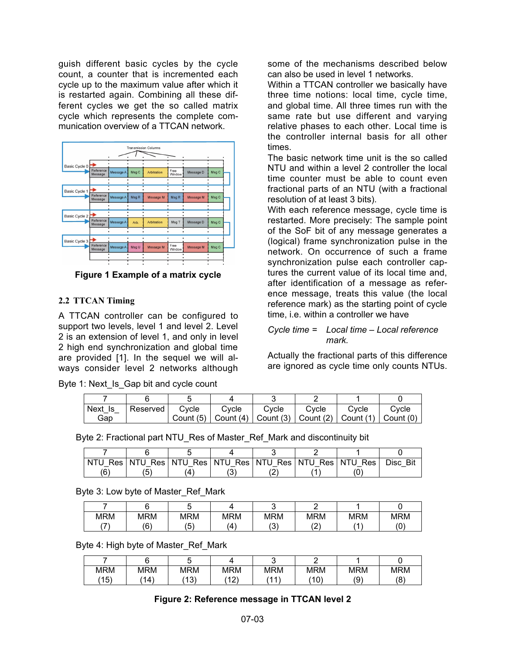guish different basic cycles by the cycle count, a counter that is incremented each cycle up to the maximum value after which it is restarted again. Combining all these different cycles we get the so called matrix cycle which represents the complete communication overview of a TTCAN network.



**Figure 1 Example of a matrix cycle**

# **2.2 TTCAN Timing**

A TTCAN controller can be configured to support two levels, level 1 and level 2. Level 2 is an extension of level 1, and only in level 2 high end synchronization and global time are provided [1]. In the sequel we will always consider level 2 networks although

Byte 1: Next\_Is\_Gap bit and cycle count

some of the mechanisms described below can also be used in level 1 networks.

Within a TTCAN controller we basically have three time notions: local time, cycle time, and global time. All three times run with the same rate but use different and varying relative phases to each other. Local time is the controller internal basis for all other times.

The basic network time unit is the so called NTU and within a level 2 controller the local time counter must be able to count even fractional parts of an NTU (with a fractional resolution of at least 3 bits).

With each reference message, cycle time is restarted. More precisely: The sample point of the SoF bit of any message generates a (logical) frame synchronization pulse in the network. On occurrence of such a frame synchronization pulse each controller captures the current value of its local time and, after identification of a message as reference message, treats this value (the local reference mark) as the starting point of cycle time, i.e. within a controller we have

# *Cycle time = Local time – Local reference mark.*

Actually the fractional parts of this difference are ignored as cycle time only counts NTUs.

| Next Is | Reserved | Cvcle | Cycle | Cvcle                                                                                               | Cvcle | Cvcle | Cvcle |
|---------|----------|-------|-------|-----------------------------------------------------------------------------------------------------|-------|-------|-------|
| Gap     |          |       |       | Count (5) $\vert$ Count (4) $\vert$ Count (3) $\vert$ Count (2) $\vert$ Count (1) $\vert$ Count (0) |       |       |       |

Byte 2: Fractional part NTU Res of Master Ref Mark and discontinuity bit

|     |  |   |  | Disc Bit |
|-----|--|---|--|----------|
| (6) |  | ▵ |  |          |

Byte 3: Low byte of Master\_Ref\_Mark

| <b>MRM</b>               | <b>MRM</b> | MRM      | <b>MRM</b> | <b>MRM</b> | MRM    | <b>MRM</b> | MRM |
|--------------------------|------------|----------|------------|------------|--------|------------|-----|
| $\overline{\phantom{a}}$ | ้ค<br>u    | '斥'<br>ີ | Δ          | ' (<br>. ب | $\sim$ |            | (0  |

Byte 4: High byte of Master\_Ref\_Mark

| MRM         | MRM         | MRM           | <b>MRM</b> | MRM    | MRM              | <b>MRM</b> | <b>MRM</b> |
|-------------|-------------|---------------|------------|--------|------------------|------------|------------|
| (イバ)<br>، ت | $ 4\rangle$ | $\Delta$<br>ັ | (40)       | $AA^*$ | $4^{\circ}$<br>u | ۵۱)<br>ັ   | /Ω<br>ັ    |

# **Figure 2: Reference message in TTCAN level 2**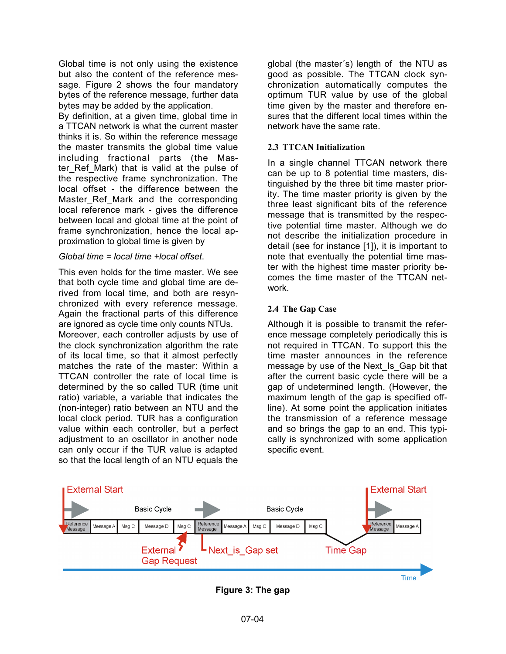Global time is not only using the existence but also the content of the reference message. Figure 2 shows the four mandatory bytes of the reference message, further data bytes may be added by the application.

By definition, at a given time, global time in a TTCAN network is what the current master thinks it is. So within the reference message the master transmits the global time value including fractional parts (the Master Ref Mark) that is valid at the pulse of the respective frame synchronization. The local offset - the difference between the Master Ref Mark and the corresponding local reference mark - gives the difference between local and global time at the point of frame synchronization, hence the local approximation to global time is given by

#### *Global time = local time +local offset*.

This even holds for the time master. We see that both cycle time and global time are derived from local time, and both are resynchronized with every reference message. Again the fractional parts of this difference are ignored as cycle time only counts NTUs. Moreover, each controller adjusts by use of the clock synchronization algorithm the rate of its local time, so that it almost perfectly matches the rate of the master: Within a TTCAN controller the rate of local time is determined by the so called TUR (time unit ratio) variable, a variable that indicates the (non-integer) ratio between an NTU and the local clock period. TUR has a configuration value within each controller, but a perfect adjustment to an oscillator in another node can only occur if the TUR value is adapted so that the local length of an NTU equals the

global (the master´s) length of the NTU as good as possible. The TTCAN clock synchronization automatically computes the optimum TUR value by use of the global time given by the master and therefore ensures that the different local times within the network have the same rate.

#### **2.3 TTCAN Initialization**

In a single channel TTCAN network there can be up to 8 potential time masters, distinguished by the three bit time master priority. The time master priority is given by the three least significant bits of the reference message that is transmitted by the respective potential time master. Although we do not describe the initialization procedure in detail (see for instance [1]), it is important to note that eventually the potential time master with the highest time master priority becomes the time master of the TTCAN network.

#### **2.4 The Gap Case**

Although it is possible to transmit the reference message completely periodically this is not required in TTCAN. To support this the time master announces in the reference message by use of the Next Is Gap bit that after the current basic cycle there will be a gap of undetermined length. (However, the maximum length of the gap is specified offline). At some point the application initiates the transmission of a reference message and so brings the gap to an end. This typically is synchronized with some application specific event.



**Figure 3: The gap**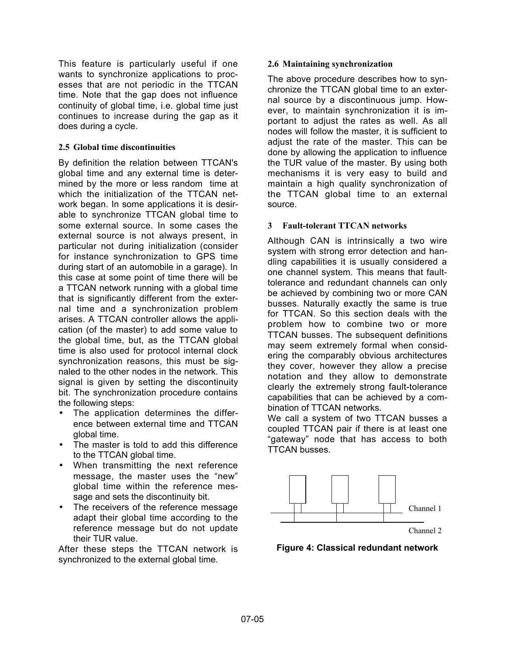This feature is particularly useful if one wants to synchronize applications to processes that are not periodic in the TTCAN time. Note that the gap does not influence continuity of global time, i.e. global time just continues to increase during the gap as it does during a cycle.

## **2.5 Global time discontinuities**

By definition the relation between TTCAN's global time and any external time is determined by the more or less random time at which the initialization of the TTCAN network began. In some applications it is desirable to synchronize TTCAN global time to some external source. In some cases the external source is not always present, in particular not during initialization (consider for instance synchronization to GPS time during start of an automobile in a garage). In this case at some point of time there will be a TTCAN network running with a global time that is significantly different from the external time and a synchronization problem arises. A TTCAN controller allows the application (of the master) to add some value to the global time, but, as the TTCAN global time is also used for protocol internal clock synchronization reasons, this must be signaled to the other nodes in the network. This signal is given by setting the discontinuity bit. The synchronization procedure contains the following steps:

- The application determines the difference between external time and TTCAN global time.
- The master is told to add this difference to the TTCAN global time.
- When transmitting the next reference message, the master uses the "new" global time within the reference message and sets the discontinuity bit.
- The receivers of the reference message adapt their global time according to the reference message but do not update their TUR value.

After these steps the TTCAN network is synchronized to the external global time.

### **2.6 Maintaining synchronization**

The above procedure describes how to synchronize the TTCAN global time to an external source by a discontinuous jump. However, to maintain synchronization it is important to adjust the rates as well. As all nodes will follow the master, it is sufficient to adjust the rate of the master. This can be done by allowing the application to influence the TUR value of the master. By using both mechanisms it is very easy to build and maintain a high quality synchronization of the TTCAN global time to an external source.

## **3 Fault-tolerant TTCAN networks**

Although CAN is intrinsically a two wire system with strong error detection and handling capabilities it is usually considered a one channel system. This means that faulttolerance and redundant channels can only be achieved by combining two or more CAN busses. Naturally exactly the same is true for TTCAN. So this section deals with the problem how to combine two or more TTCAN busses. The subsequent definitions may seem extremely formal when considering the comparably obvious architectures they cover, however they allow a precise notation and they allow to demonstrate clearly the extremely strong fault-tolerance capabilities that can be achieved by a combination of TTCAN networks.

We call a system of two TTCAN busses a coupled TTCAN pair if there is at least one "gateway" node that has access to both TTCAN busses.



**Figure 4: Classical redundant network**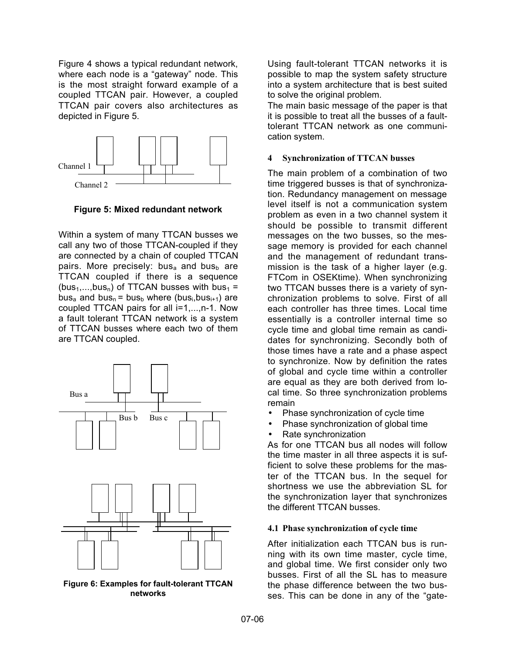Figure 4 shows a typical redundant network, where each node is a "gateway" node. This is the most straight forward example of a coupled TTCAN pair. However, a coupled TTCAN pair covers also architectures as depicted in Figure 5.



**Figure 5: Mixed redundant network**

Within a system of many TTCAN busses we call any two of those TTCAN-coupled if they are connected by a chain of coupled TTCAN pairs. More precisely: bus<sub>a</sub> and bus<sub>b</sub> are TTCAN coupled if there is a sequence (bus<sub>1</sub>,...,bus<sub>n</sub>) of TTCAN busses with bus<sub>1</sub> = bus<sub>a</sub> and bus<sub>n</sub> = bus<sub>b</sub> where (bus<sub>i</sub>,bus<sub>i+1</sub>) are coupled TTCAN pairs for all i=1,...,n-1. Now a fault tolerant TTCAN network is a system of TTCAN busses where each two of them are TTCAN coupled.



**Figure 6: Examples for fault-tolerant TTCAN networks**

Using fault-tolerant TTCAN networks it is possible to map the system safety structure into a system architecture that is best suited to solve the original problem.

The main basic message of the paper is that it is possible to treat all the busses of a faulttolerant TTCAN network as one communication system.

#### **4 Synchronization of TTCAN busses**

The main problem of a combination of two time triggered busses is that of synchronization. Redundancy management on message level itself is not a communication system problem as even in a two channel system it should be possible to transmit different messages on the two busses, so the message memory is provided for each channel and the management of redundant transmission is the task of a higher layer (e.g. FTCom in OSEKtime). When synchronizing two TTCAN busses there is a variety of synchronization problems to solve. First of all each controller has three times. Local time essentially is a controller internal time so cycle time and global time remain as candidates for synchronizing. Secondly both of those times have a rate and a phase aspect to synchronize. Now by definition the rates of global and cycle time within a controller are equal as they are both derived from local time. So three synchronization problems remain

- Phase synchronization of cycle time
- Phase synchronization of global time
- Rate synchronization

As for one TTCAN bus all nodes will follow the time master in all three aspects it is sufficient to solve these problems for the master of the TTCAN bus. In the sequel for shortness we use the abbreviation SL for the synchronization layer that synchronizes the different TTCAN busses.

#### **4.1 Phase synchroniz**a**tion of cycle time**

After initialization each TTCAN bus is running with its own time master, cycle time, and global time. We first consider only two busses. First of all the SL has to measure the phase difference between the two busses. This can be done in any of the "gate-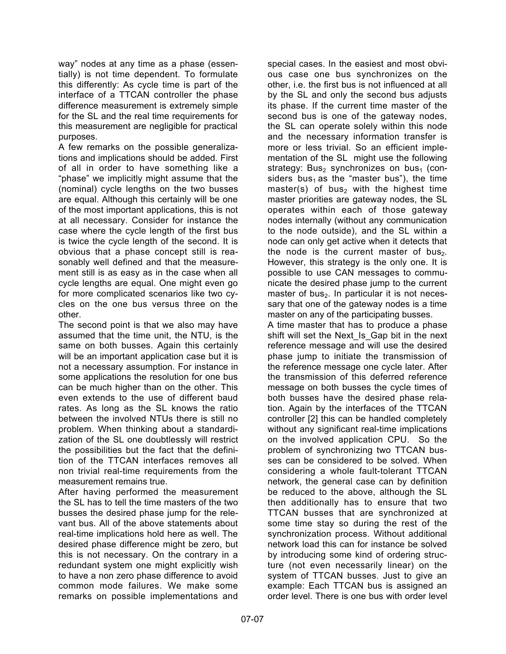way" nodes at any time as a phase (essentially) is not time dependent. To formulate this differently: As cycle time is part of the interface of a TTCAN controller the phase difference measurement is extremely simple for the SL and the real time requirements for this measurement are negligible for practical purposes.

A few remarks on the possible generalizations and implications should be added. First of all in order to have something like a "phase" we implicitly might assume that the (nominal) cycle lengths on the two busses are equal. Although this certainly will be one of the most important applications, this is not at all necessary. Consider for instance the case where the cycle length of the first bus is twice the cycle length of the second. It is obvious that a phase concept still is reasonably well defined and that the measurement still is as easy as in the case when all cycle lengths are equal. One might even go for more complicated scenarios like two cycles on the one bus versus three on the other.

The second point is that we also may have assumed that the time unit, the NTU, is the same on both busses. Again this certainly will be an important application case but it is not a necessary assumption. For instance in some applications the resolution for one bus can be much higher than on the other. This even extends to the use of different baud rates. As long as the SL knows the ratio between the involved NTUs there is still no problem. When thinking about a standardization of the SL one doubtlessly will restrict the possibilities but the fact that the definition of the TTCAN interfaces removes all non trivial real-time requirements from the measurement remains true.

After having performed the measurement the SL has to tell the time masters of the two busses the desired phase jump for the relevant bus. All of the above statements about real-time implications hold here as well. The desired phase difference might be zero, but this is not necessary. On the contrary in a redundant system one might explicitly wish to have a non zero phase difference to avoid common mode failures. We make some remarks on possible implementations and

special cases. In the easiest and most obvious case one bus synchronizes on the other, i.e. the first bus is not influenced at all by the SL and only the second bus adjusts its phase. If the current time master of the second bus is one of the gateway nodes, the SL can operate solely within this node and the necessary information transfer is more or less trivial. So an efficient implementation of the SL might use the following strategy: Bus<sub>2</sub> synchronizes on bus<sub>1</sub> (considers bus<sub>1</sub> as the "master bus"), the time master(s) of bus<sub>2</sub> with the highest time master priorities are gateway nodes, the SL operates within each of those gateway nodes internally (without any communication to the node outside), and the SL within a node can only get active when it detects that the node is the current master of bus $_2$ . However, this strategy is the only one. It is possible to use CAN messages to communicate the desired phase jump to the current master of bus<sub>2</sub>. In particular it is not necessary that one of the gateway nodes is a time master on any of the participating busses.

A time master that has to produce a phase shift will set the Next\_Is\_Gap bit in the next reference message and will use the desired phase jump to initiate the transmission of the reference message one cycle later. After the transmission of this deferred reference message on both busses the cycle times of both busses have the desired phase relation. Again by the interfaces of the TTCAN controller [2] this can be handled completely without any significant real-time implications on the involved application CPU. So the problem of synchronizing two TTCAN busses can be considered to be solved. When considering a whole fault-tolerant TTCAN network, the general case can by definition be reduced to the above, although the SL then additionally has to ensure that two TTCAN busses that are synchronized at some time stay so during the rest of the synchronization process. Without additional network load this can for instance be solved by introducing some kind of ordering structure (not even necessarily linear) on the system of TTCAN busses. Just to give an example: Each TTCAN bus is assigned an order level. There is one bus with order level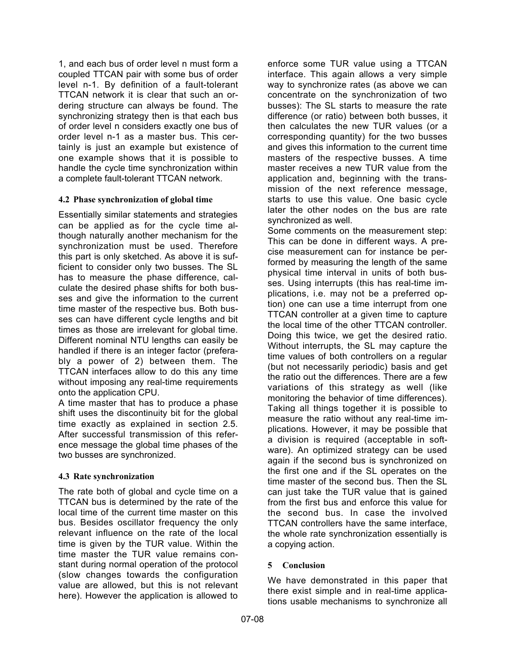1, and each bus of order level n must form a coupled TTCAN pair with some bus of order level n-1. By definition of a fault-tolerant TTCAN network it is clear that such an ordering structure can always be found. The synchronizing strategy then is that each bus of order level n considers exactly one bus of order level n-1 as a master bus. This certainly is just an example but existence of one example shows that it is possible to handle the cycle time synchronization within a complete fault-tolerant TTCAN network.

## **4.2 Phase synchroniz**a**tion of global time**

Essentially similar statements and strategies can be applied as for the cycle time although naturally another mechanism for the synchronization must be used. Therefore this part is only sketched. As above it is sufficient to consider only two busses. The SL has to measure the phase difference, calculate the desired phase shifts for both busses and give the information to the current time master of the respective bus. Both busses can have different cycle lengths and bit times as those are irrelevant for global time. Different nominal NTU lengths can easily be handled if there is an integer factor (preferably a power of 2) between them. The TTCAN interfaces allow to do this any time without imposing any real-time requirements onto the application CPU.

A time master that has to produce a phase shift uses the discontinuity bit for the global time exactly as explained in section 2.5. After successful transmission of this reference message the global time phases of the two busses are synchronized.

## **4.3 Rate synchronization**

The rate both of global and cycle time on a TTCAN bus is determined by the rate of the local time of the current time master on this bus. Besides oscillator frequency the only relevant influence on the rate of the local time is given by the TUR value. Within the time master the TUR value remains constant during normal operation of the protocol (slow changes towards the configuration value are allowed, but this is not relevant here). However the application is allowed to

enforce some TUR value using a TTCAN interface. This again allows a very simple way to synchronize rates (as above we can concentrate on the synchronization of two busses): The SL starts to measure the rate difference (or ratio) between both busses, it then calculates the new TUR values (or a corresponding quantity) for the two busses and gives this information to the current time masters of the respective busses. A time master receives a new TUR value from the application and, beginning with the transmission of the next reference message, starts to use this value. One basic cycle later the other nodes on the bus are rate synchronized as well.

Some comments on the measurement step: This can be done in different ways. A precise measurement can for instance be performed by measuring the length of the same physical time interval in units of both busses. Using interrupts (this has real-time implications, i.e. may not be a preferred option) one can use a time interrupt from one TTCAN controller at a given time to capture the local time of the other TTCAN controller. Doing this twice, we get the desired ratio. Without interrupts, the SL may capture the time values of both controllers on a regular (but not necessarily periodic) basis and get the ratio out the differences. There are a few variations of this strategy as well (like monitoring the behavior of time differences). Taking all things together it is possible to measure the ratio without any real-time implications. However, it may be possible that a division is required (acceptable in software). An optimized strategy can be used again if the second bus is synchronized on the first one and if the SL operates on the time master of the second bus. Then the SL can just take the TUR value that is gained from the first bus and enforce this value for the second bus. In case the involved TTCAN controllers have the same interface, the whole rate synchronization essentially is a copying action.

#### **5 Conclusion**

We have demonstrated in this paper that there exist simple and in real-time applications usable mechanisms to synchronize all